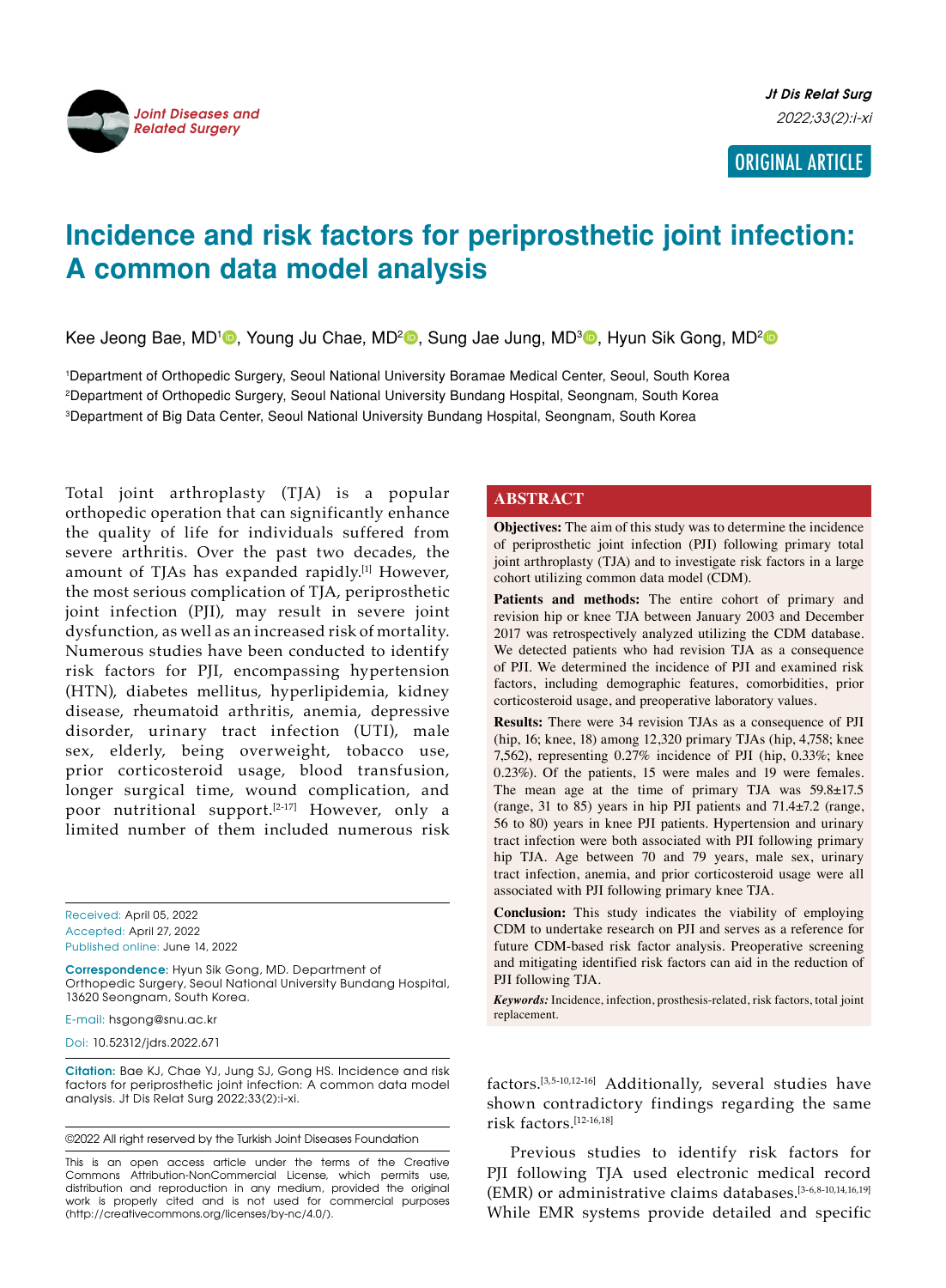

# **Incidence and risk factors for periprosthetic joint infection: A common data model analysis**

Kee Jeong Bae, MD<sup>1</sup><sup>®</sup>, Young Ju Chae, MD<sup>2</sup>®, Sung Jae Jung, MD<sup>3</sup>®, Hyun Sik Gong, MD<sup>2</sup>®

1 Department of Orthopedic Surgery, Seoul National University Boramae Medical Center, Seoul, South Korea 2 Department of Orthopedic Surgery, Seoul National University Bundang Hospital, Seongnam, South Korea 3 Department of Big Data Center, Seoul National University Bundang Hospital, Seongnam, South Korea

Total joint arthroplasty (TJA) is a popular orthopedic operation that can significantly enhance the quality of life for individuals suffered from severe arthritis. Over the past two decades, the amount of TJAs has expanded rapidly.[1] However, the most serious complication of TJA, periprosthetic joint infection (PJI), may result in severe joint dysfunction, as well as an increased risk of mortality. Numerous studies have been conducted to identify risk factors for PJI, encompassing hypertension (HTN), diabetes mellitus, hyperlipidemia, kidney disease, rheumatoid arthritis, anemia, depressive disorder, urinary tract infection (UTI), male sex, elderly, being overweight, tobacco use, prior corticosteroid usage, blood transfusion, longer surgical time, wound complication, and poor nutritional support.<sup>[2-17]</sup> However, only a limited number of them included numerous risk

Received: April 05, 2022 Accepted: April 27, 2022 Published online: June 14, 2022

**Correspondence**: Hyun Sik Gong, MD. Department of Orthopedic Surgery, Seoul National University Bundang Hospital, 13620 Seongnam, South Korea.

E-mail: hsgong@snu.ac.kr

Doi: 10.52312/jdrs.2022.671

**Citation:** Bae KJ, Chae YJ, Jung SJ, Gong HS. Incidence and risk factors for periprosthetic joint infection: A common data model analysis. Jt Dis Relat Surg 2022;33(2):i-xi.

©2022 All right reserved by the Turkish Joint Diseases Foundation

This is an open access article under the terms of the Creative Commons Attribution-NonCommercial License, which permits use, distribution and reproduction in any medium, provided the original work is properly cited and is not used for commercial purposes (http://creativecommons.org/licenses/by-nc/4.0/).

## **ABSTRACT**

**Objectives:** The aim of this study was to determine the incidence of periprosthetic joint infection (PJI) following primary total joint arthroplasty (TJA) and to investigate risk factors in a large cohort utilizing common data model (CDM).

**Patients and methods:** The entire cohort of primary and revision hip or knee TJA between January 2003 and December 2017 was retrospectively analyzed utilizing the CDM database. We detected patients who had revision TJA as a consequence of PJI. We determined the incidence of PJI and examined risk factors, including demographic features, comorbidities, prior corticosteroid usage, and preoperative laboratory values.

**Results:** There were 34 revision TJAs as a consequence of PJI (hip, 16; knee, 18) among 12,320 primary TJAs (hip, 4,758; knee 7,562), representing 0.27% incidence of PJI (hip, 0.33%; knee 0.23%). Of the patients, 15 were males and 19 were females. The mean age at the time of primary TJA was  $59.8 \pm 17.5$ (range, 31 to 85) years in hip PJI patients and  $71.4\pm7.2$  (range, 56 to 80) years in knee PJI patients. Hypertension and urinary tract infection were both associated with PJI following primary hip TJA. Age between 70 and 79 years, male sex, urinary tract infection, anemia, and prior corticosteroid usage were all associated with PJI following primary knee TJA.

**Conclusion:** This study indicates the viability of employing CDM to undertake research on PJI and serves as a reference for future CDM-based risk factor analysis. Preoperative screening and mitigating identified risk factors can aid in the reduction of PJI following TJA.

*Keywords:* Incidence, infection, prosthesis-related, risk factors, total joint replacement.

factors.[3,5-10,12-16] Additionally, several studies have shown contradictory findings regarding the same risk factors.[12-16,18]

Previous studies to identify risk factors for PJI following TJA used electronic medical record (EMR) or administrative claims databases.[3-6,8-10,14,16,19] While EMR systems provide detailed and specific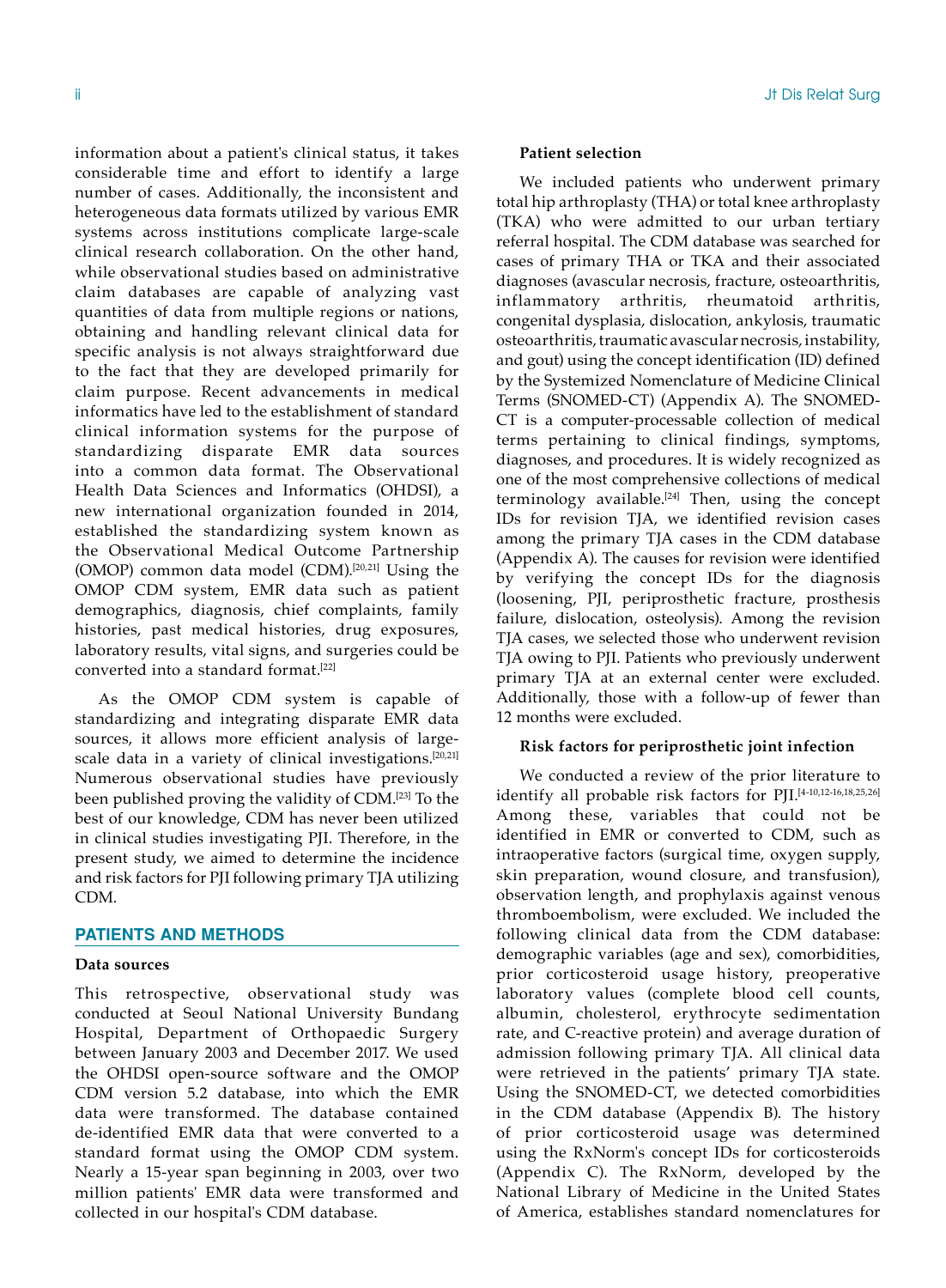information about a patient's clinical status, it takes considerable time and effort to identify a large number of cases. Additionally, the inconsistent and heterogeneous data formats utilized by various EMR systems across institutions complicate large-scale clinical research collaboration. On the other hand, while observational studies based on administrative claim databases are capable of analyzing vast quantities of data from multiple regions or nations, obtaining and handling relevant clinical data for specific analysis is not always straightforward due to the fact that they are developed primarily for claim purpose. Recent advancements in medical informatics have led to the establishment of standard clinical information systems for the purpose of standardizing disparate EMR data sources into a common data format. The Observational Health Data Sciences and Informatics (OHDSI), a new international organization founded in 2014, established the standardizing system known as the Observational Medical Outcome Partnership (OMOP) common data model (CDM).<sup>[20,21]</sup> Using the OMOP CDM system, EMR data such as patient demographics, diagnosis, chief complaints, family histories, past medical histories, drug exposures, laboratory results, vital signs, and surgeries could be converted into a standard format.[22]

As the OMOP CDM system is capable of standardizing and integrating disparate EMR data sources, it allows more efficient analysis of largescale data in a variety of clinical investigations.<sup>[20,21]</sup> Numerous observational studies have previously been published proving the validity of CDM.[23] To the best of our knowledge, CDM has never been utilized in clinical studies investigating PJI. Therefore, in the present study, we aimed to determine the incidence and risk factors for PJI following primary TJA utilizing CDM.

## **PATIENTS AND METHODS**

## **Data sources**

This retrospective, observational study was conducted at Seoul National University Bundang Hospital, Department of Orthopaedic Surgery between January 2003 and December 2017. We used the OHDSI open-source software and the OMOP CDM version 5.2 database, into which the EMR data were transformed. The database contained de-identified EMR data that were converted to a standard format using the OMOP CDM system. Nearly a 15-year span beginning in 2003, over two million patients' EMR data were transformed and collected in our hospital's CDM database.

#### **Patient selection**

We included patients who underwent primary total hip arthroplasty (THA) or total knee arthroplasty (TKA) who were admitted to our urban tertiary referral hospital. The CDM database was searched for cases of primary THA or TKA and their associated diagnoses (avascular necrosis, fracture, osteoarthritis, inflammatory arthritis, rheumatoid arthritis, congenital dysplasia, dislocation, ankylosis, traumatic osteoarthritis, traumatic avascular necrosis, instability, and gout) using the concept identification (ID) defined by the Systemized Nomenclature of Medicine Clinical Terms (SNOMED-CT) (Appendix A). The SNOMED-CT is a computer-processable collection of medical terms pertaining to clinical findings, symptoms, diagnoses, and procedures. It is widely recognized as one of the most comprehensive collections of medical terminology available. $[24]$  Then, using the concept IDs for revision TJA, we identified revision cases among the primary TJA cases in the CDM database (Appendix A). The causes for revision were identified by verifying the concept IDs for the diagnosis (loosening, PJI, periprosthetic fracture, prosthesis failure, dislocation, osteolysis). Among the revision TJA cases, we selected those who underwent revision TJA owing to PJI. Patients who previously underwent primary TJA at an external center were excluded. Additionally, those with a follow-up of fewer than 12 months were excluded.

#### **Risk factors for periprosthetic joint infection**

We conducted a review of the prior literature to identify all probable risk factors for PJI.<sup>[4-10,12-16,18,25,26]</sup> Among these, variables that could not be identified in EMR or converted to CDM, such as intraoperative factors (surgical time, oxygen supply, skin preparation, wound closure, and transfusion), observation length, and prophylaxis against venous thromboembolism, were excluded. We included the following clinical data from the CDM database: demographic variables (age and sex), comorbidities, prior corticosteroid usage history, preoperative laboratory values (complete blood cell counts, albumin, cholesterol, erythrocyte sedimentation rate, and C-reactive protein) and average duration of admission following primary TJA. All clinical data were retrieved in the patients' primary TJA state. Using the SNOMED-CT, we detected comorbidities in the CDM database (Appendix B). The history of prior corticosteroid usage was determined using the RxNorm's concept IDs for corticosteroids (Appendix C). The RxNorm, developed by the National Library of Medicine in the United States of America, establishes standard nomenclatures for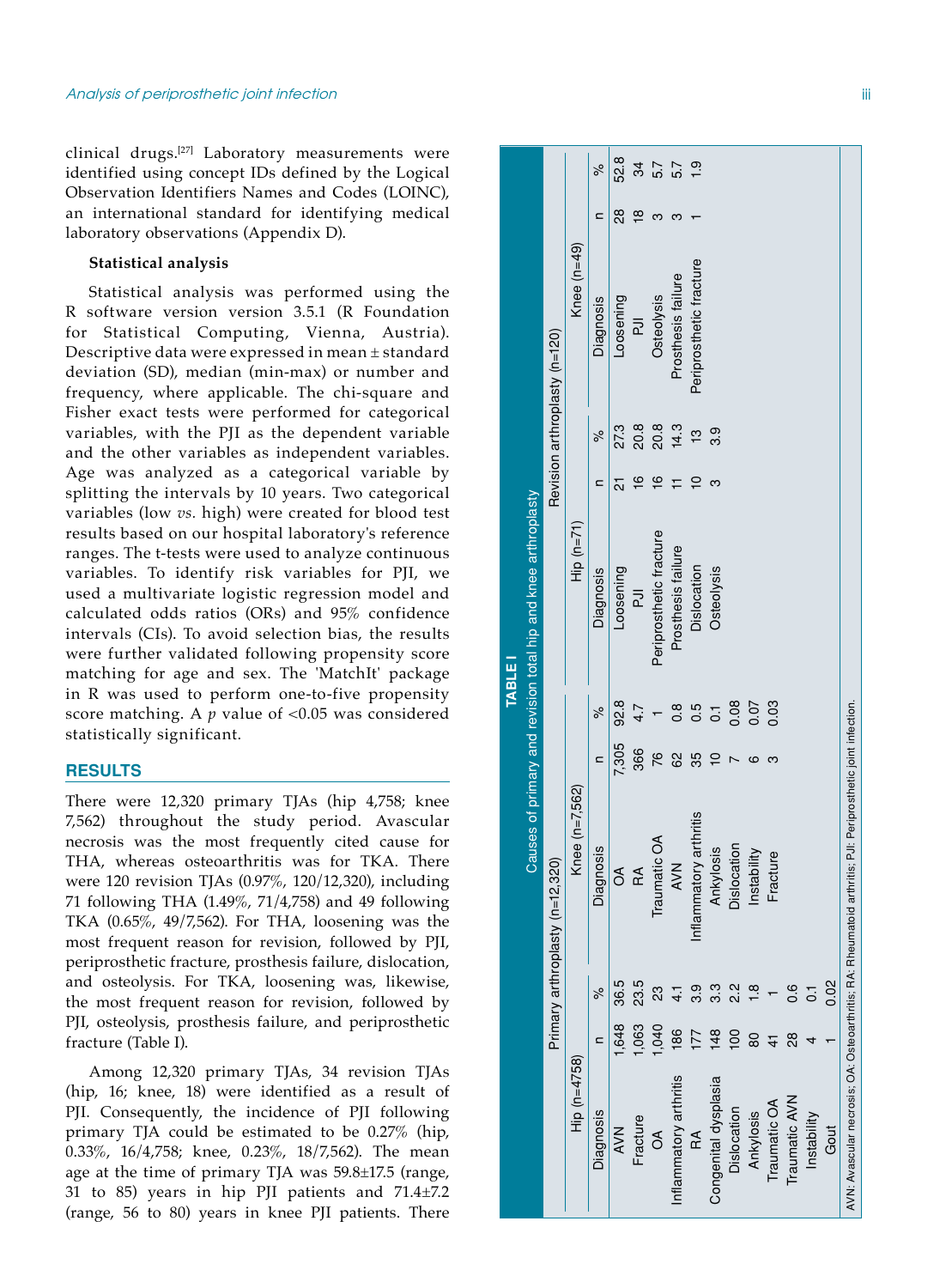clinical drugs.<sup>[27]</sup> Laboratory measurements were identified using concept IDs defined by the Logical Observation Identifiers Names and Codes (LOINC), an international standard for identifying medical laboratory observations (Appendix D).

## **Statistical analysis**

Statistical analysis was performed using the R software version version 3.5.1 (R Foundation for Statistical Computing, Vienna, Austria). Descriptive data were expressed in mean ± standard deviation (SD), median (min-max) or number and frequency, where applicable. The chi-square and Fisher exact tests were performed for categorical variables, with the PJI as the dependent variable and the other variables as independent variables. Age was analyzed as a categorical variable by splitting the intervals by 10 years. Two categorical variables (low *vs.* high) were created for blood test results based on our hospital laboratory's reference ranges. The t-tests were used to analyze continuous variables. To identify risk variables for PJI, we used a multivariate logistic regression model and calculated odds ratios (ORs) and 95% confidence intervals (CIs). To avoid selection bias, the results were further validated following propensity score matching for age and sex. The 'MatchIt' package in R was used to perform one-to-five propensity score matching. A *p* value of <0.05 was considered statistically significant.

## **RESULTS**

There were 12,320 primary TJAs (hip 4,758; knee 7,562) throughout the study period. Avascular necrosis was the most frequently cited cause for THA, whereas osteoarthritis was for TKA. There were 120 revision TJAs (0.97%, 120/12,320), including 71 following THA (1.49%, 71/4,758) and 49 following TKA (0.65%, 49/7,562). For THA, loosening was the most frequent reason for revision, followed by PJI, periprosthetic fracture, prosthesis failure, dislocation, and osteolysis. For TKA, loosening was, likewise, the most frequent reason for revision, followed by PJI, osteolysis, prosthesis failure, and periprosthetic fracture (Table I).

Among 12,320 primary TJAs, 34 revision TJAs (hip, 16; knee, 18) were identified as a result of PJI. Consequently, the incidence of PJI following primary TJA could be estimated to be 0.27% (hip, 0.33%, 16/4,758; knee, 0.23%, 18/7,562). The mean age at the time of primary TJA was 59.8±17.5 (range, 31 to 85) years in hip PJI patients and 71.4±7.2 (range, 56 to 80) years in knee PJI patients. There

|              |                                                                |                                 |                | $\frac{6}{6}$    | 52.8             | 34             | 5.7                     | 5.7                    | $\frac{5}{1}$           |                      |             |             |              |               |             |      |                                                                                                             |  |
|--------------|----------------------------------------------------------------|---------------------------------|----------------|------------------|------------------|----------------|-------------------------|------------------------|-------------------------|----------------------|-------------|-------------|--------------|---------------|-------------|------|-------------------------------------------------------------------------------------------------------------|--|
|              |                                                                |                                 |                |                  | 88               | ≌              |                         | ო                      |                         |                      |             |             |              |               |             |      |                                                                                                             |  |
|              |                                                                | Revision arthroplasty (n=120)   | Knee $(n=49)$  | <b>Diagnosis</b> | Loosening        | $\bar{E}$      | Osteolysis              | Prosthesis failure     | Periprosthetic fracture |                      |             |             |              |               |             |      |                                                                                                             |  |
|              |                                                                |                                 |                | $\frac{6}{6}$    | 27.3             | 20.8           | 20.8                    | 14.3                   | ლ                       | თ<br>თ               |             |             |              |               |             |      |                                                                                                             |  |
|              |                                                                |                                 | $Hip$ (n=71)   | ⋍                | 21               | $\overline{6}$ | $\overline{6}$          |                        |                         | ო                    |             |             |              |               |             |      |                                                                                                             |  |
|              | Causes of primary and revision total hip and knee arthroplasty |                                 |                | <b>Diagnosis</b> | <b>Loosening</b> | 쿤              | Periprosthetic fracture | Prosthesis failure     | Dislocation             | Osteolysis           |             |             |              |               |             |      |                                                                                                             |  |
| <b>TABLE</b> |                                                                |                                 |                | $\frac{6}{6}$    | 92.8             | 4.7            |                         | $\frac{8}{2}$          | 0.5                     | 5                    | 0.08        | 0.07        | 0.03         |               |             |      |                                                                                                             |  |
|              |                                                                |                                 |                |                  | 7,305            | 366            | 76                      | 89                     | 35                      | $\overline{C}$       |             | ဖ           | ო            |               |             |      |                                                                                                             |  |
|              |                                                                | Primary arthroplasty (n=12,320) | Knee (n=7,562) | Diagnosis        | S                | RA             | Traumatic OA            | <b>N/R</b>             | Inflammatory arthritis  | Ankylosis            | Dislocation | Instability | Fracture     |               |             |      | AVN: Avascular necrosis; OA: Osteoarthritis; RA: Rheumatoid arthritis; PJI: Periprosthetic joint infection. |  |
|              |                                                                |                                 |                | olo              | 36.5             | 23.5           | 23                      |                        | თ<br>თ                  | က<br>က               | یہ<br>N     |             |              | $\frac{6}{1}$ |             | 0.02 |                                                                                                             |  |
|              |                                                                |                                 |                |                  | 1,648            | 1,063          | 040                     | 186                    |                         | 148                  | <u>ខ</u>    |             |              | $\frac{8}{2}$ |             |      |                                                                                                             |  |
|              |                                                                |                                 | $Hip$ (n=4758) | <b>Diagnosis</b> | <b>AVN</b>       | Fracture       | $\delta$                | Inflammatory arthritis | RA                      | Congenital dysplasia | Dislocation | Ankylosis   | Traumatic OA | Traumatic AVN | Instability | Gout |                                                                                                             |  |

⋖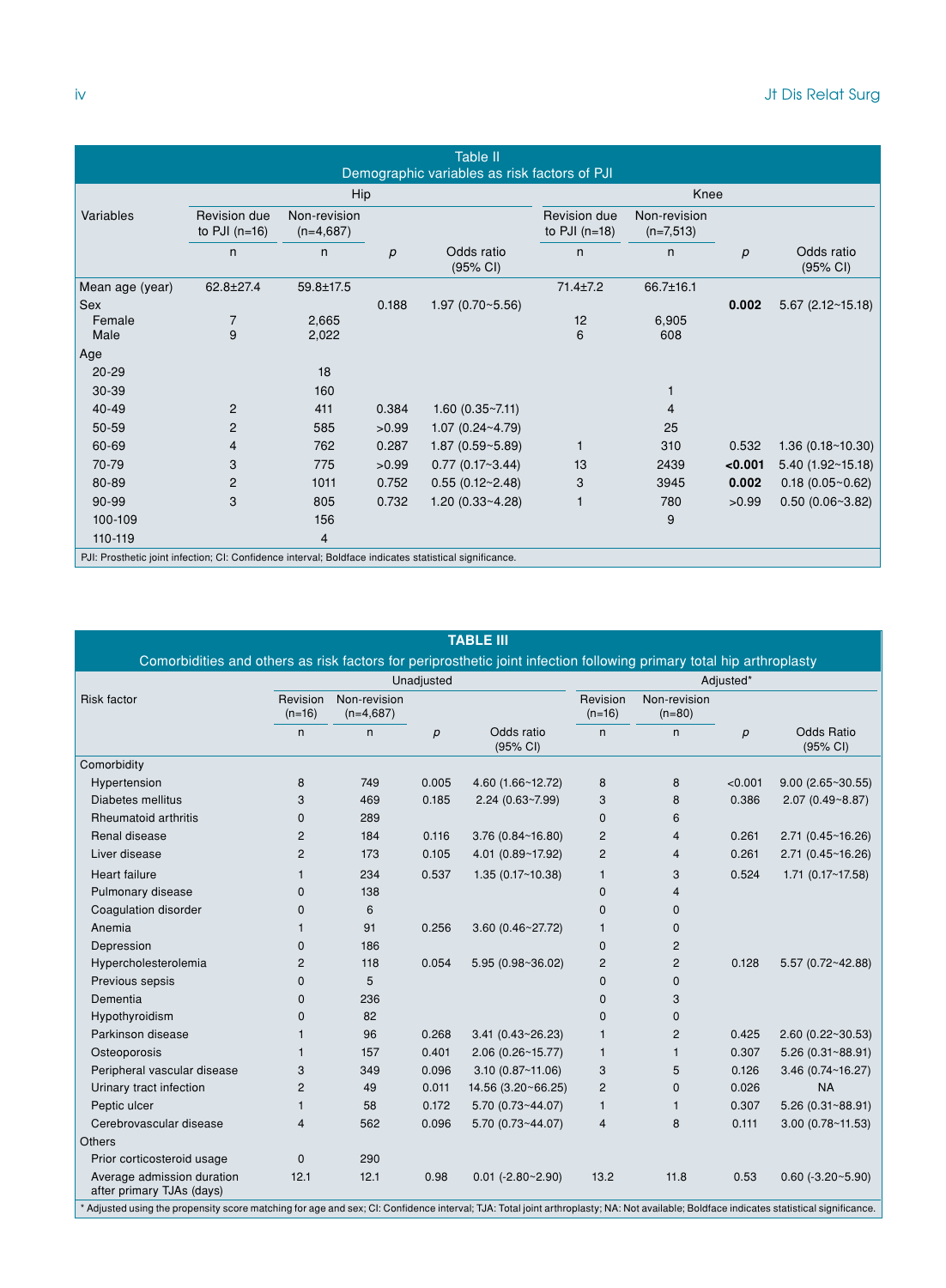|                                                                                                        |                                 |                             |       | <b>Table II</b><br>Demographic variables as risk factors of PJI |                                 |                             |         |                        |
|--------------------------------------------------------------------------------------------------------|---------------------------------|-----------------------------|-------|-----------------------------------------------------------------|---------------------------------|-----------------------------|---------|------------------------|
|                                                                                                        |                                 | Hip                         |       | Knee                                                            |                                 |                             |         |                        |
| Variables                                                                                              | Revision due<br>to PJI $(n=16)$ | Non-revision<br>$(n=4,687)$ |       |                                                                 | Revision due<br>to PJI $(n=18)$ | Non-revision<br>$(n=7,513)$ |         |                        |
|                                                                                                        | $\mathsf{n}$                    | n                           | р     | Odds ratio<br>(95% CI)                                          | n                               | n                           | p       | Odds ratio<br>(95% CI) |
| Mean age (year)                                                                                        | 62.8±27.4                       | 59.8±17.5                   |       |                                                                 | $71.4 \pm 7.2$                  | 66.7±16.1                   |         |                        |
| Sex                                                                                                    |                                 |                             | 0.188 | 1.97(0.70~5.56)                                                 |                                 |                             | 0.002   | 5.67(2.12~15.18)       |
| Female                                                                                                 | $\overline{7}$                  | 2,665                       |       |                                                                 | 12                              | 6,905                       |         |                        |
| Male                                                                                                   | 9                               | 2,022                       |       |                                                                 | 6                               | 608                         |         |                        |
| Age                                                                                                    |                                 |                             |       |                                                                 |                                 |                             |         |                        |
| 20-29                                                                                                  |                                 | 18                          |       |                                                                 |                                 |                             |         |                        |
| 30-39                                                                                                  |                                 | 160                         |       |                                                                 |                                 |                             |         |                        |
| 40-49                                                                                                  | $\overline{2}$                  | 411                         | 0.384 | 1.60(0.35~7.11)                                                 |                                 | 4                           |         |                        |
| 50-59                                                                                                  | $\mathbf{2}$                    | 585                         | >0.99 | 1.07(0.24~4.79)                                                 |                                 | 25                          |         |                        |
| 60-69                                                                                                  | 4                               | 762                         | 0.287 | 1.87(0.59~5.89)                                                 |                                 | 310                         | 0.532   | 1.36(0.18~10.30)       |
| 70-79                                                                                                  | 3                               | 775                         | >0.99 | 0.77(0.17~3.44)                                                 | 13                              | 2439                        | < 0.001 | 5.40(1.92~15.18)       |
| 80-89                                                                                                  | 2                               | 1011                        | 0.752 | 0.55(0.12~2.48)                                                 | 3                               | 3945                        | 0.002   | 0.18(0.05~0.62)        |
| $90 - 99$                                                                                              | 3                               | 805                         | 0.732 | 1.20(0.33~4.28)                                                 |                                 | 780                         | >0.99   | 0.50(0.06~3.82)        |
| 100-109                                                                                                |                                 | 156                         |       |                                                                 |                                 | 9                           |         |                        |
| 110-119                                                                                                |                                 | $\overline{4}$              |       |                                                                 |                                 |                             |         |                        |
| PJI: Prosthetic joint infection; CI: Confidence interval; Boldface indicates statistical significance. |                                 |                             |       |                                                                 |                                 |                             |         |                        |

| Comorbidities and others as risk factors for periprosthetic joint infection following primary total hip arthroplasty<br>Unadjusted<br>Risk factor<br>Non-revision<br>Revision<br>$(n=16)$<br>$(n=4,687)$<br>$\overline{p}$<br>n<br>n<br>Comorbidity<br>Hypertension<br>8<br>749<br>0.005<br>Diabetes mellitus<br>3<br>469<br>0.185<br><b>Rheumatoid arthritis</b><br>289<br>0<br>184<br>0.116<br>Renal disease<br>$\overline{2}$<br>0.105<br>Liver disease<br>$\overline{2}$<br>173 |                        |                      |                          |           |                               |  |  |  |
|-------------------------------------------------------------------------------------------------------------------------------------------------------------------------------------------------------------------------------------------------------------------------------------------------------------------------------------------------------------------------------------------------------------------------------------------------------------------------------------|------------------------|----------------------|--------------------------|-----------|-------------------------------|--|--|--|
|                                                                                                                                                                                                                                                                                                                                                                                                                                                                                     |                        |                      |                          | Adjusted* |                               |  |  |  |
|                                                                                                                                                                                                                                                                                                                                                                                                                                                                                     |                        | Revision<br>$(n=16)$ | Non-revision<br>$(n=80)$ |           |                               |  |  |  |
|                                                                                                                                                                                                                                                                                                                                                                                                                                                                                     | Odds ratio<br>(95% CI) | n                    | n                        | p         | <b>Odds Ratio</b><br>(95% CI) |  |  |  |
|                                                                                                                                                                                                                                                                                                                                                                                                                                                                                     |                        |                      |                          |           |                               |  |  |  |
|                                                                                                                                                                                                                                                                                                                                                                                                                                                                                     | 4.60 (1.66~12.72)      | 8                    | 8                        | < 0.001   | 9.00(2.65~30.55)              |  |  |  |
|                                                                                                                                                                                                                                                                                                                                                                                                                                                                                     | 2.24(0.63~7.99)        | 3                    | 8                        | 0.386     | $2.07(0.49-8.87)$             |  |  |  |
|                                                                                                                                                                                                                                                                                                                                                                                                                                                                                     |                        | $\mathbf{0}$         | 6                        |           |                               |  |  |  |
|                                                                                                                                                                                                                                                                                                                                                                                                                                                                                     | 3.76(0.84~16.80)       | $\overline{2}$       | $\overline{4}$           | 0.261     | 2.71(0.45~16.26)              |  |  |  |
|                                                                                                                                                                                                                                                                                                                                                                                                                                                                                     | 4.01 (0.89~17.92)      | $\overline{2}$       | $\overline{4}$           | 0.261     | 2.71(0.45~16.26)              |  |  |  |
| Heart failure<br>234<br>0.537<br>$\mathbf{1}$                                                                                                                                                                                                                                                                                                                                                                                                                                       | 1.35(0.17~10.38)       | $\mathbf{1}$         | 3                        | 0.524     | 1.71(0.17~17.58)              |  |  |  |
| Pulmonary disease<br>0<br>138                                                                                                                                                                                                                                                                                                                                                                                                                                                       |                        | $\mathbf{0}$         | $\overline{4}$           |           |                               |  |  |  |
| Coagulation disorder<br>6<br>0                                                                                                                                                                                                                                                                                                                                                                                                                                                      |                        | $\Omega$             | $\Omega$                 |           |                               |  |  |  |
| 91<br>Anemia<br>0.256<br>1                                                                                                                                                                                                                                                                                                                                                                                                                                                          | 3.60 (0.46~27.72)      | $\mathbf{1}$         | $\mathbf{0}$             |           |                               |  |  |  |
| Depression<br>186<br>0                                                                                                                                                                                                                                                                                                                                                                                                                                                              |                        | $\mathbf{0}$         | $\overline{2}$           |           |                               |  |  |  |
| Hypercholesterolemia<br>118<br>0.054<br>$\overline{2}$                                                                                                                                                                                                                                                                                                                                                                                                                              | 5.95(0.98~36.02)       | 2                    | $\overline{2}$           | 0.128     | 5.57 (0.72~42.88)             |  |  |  |
| 5<br>Previous sepsis<br>0                                                                                                                                                                                                                                                                                                                                                                                                                                                           |                        | $\mathbf 0$          | $\mathbf{0}$             |           |                               |  |  |  |
| Dementia<br>236<br>0                                                                                                                                                                                                                                                                                                                                                                                                                                                                |                        | $\mathbf 0$          | 3                        |           |                               |  |  |  |
| Hypothyroidism<br>82<br>$\mathbf{0}$                                                                                                                                                                                                                                                                                                                                                                                                                                                |                        | $\Omega$             | $\Omega$                 |           |                               |  |  |  |
| Parkinson disease<br>96<br>0.268<br>1                                                                                                                                                                                                                                                                                                                                                                                                                                               | 3.41(0.43~26.23)       | $\mathbf{1}$         | $\overline{2}$           | 0.425     | 2.60(0.22~30.53)              |  |  |  |
| 157<br>Osteoporosis<br>0.401<br>1                                                                                                                                                                                                                                                                                                                                                                                                                                                   | 2.06(0.26~15.77)       | $\mathbf{1}$         | $\mathbf{1}$             | 0.307     | 5.26(0.31~8.91)               |  |  |  |
| Peripheral vascular disease<br>3<br>349<br>0.096                                                                                                                                                                                                                                                                                                                                                                                                                                    | 3.10(0.87~11.06)       | 3                    | 5                        | 0.126     | 3.46(0.74~16.27)              |  |  |  |
| Urinary tract infection<br>$\overline{2}$<br>49<br>0.011                                                                                                                                                                                                                                                                                                                                                                                                                            | 14.56 (3.20~66.25)     | 2                    | $\mathbf{0}$             | 0.026     | <b>NA</b>                     |  |  |  |
| Peptic ulcer<br>0.172<br>58<br>1                                                                                                                                                                                                                                                                                                                                                                                                                                                    | 5.70 (0.73~44.07)      | $\mathbf{1}$         | $\mathbf{1}$             | 0.307     | 5.26(0.31~8.91)               |  |  |  |
| Cerebrovascular disease<br>562<br>0.096<br>4                                                                                                                                                                                                                                                                                                                                                                                                                                        | 5.70 (0.73~44.07)      | $\overline{4}$       | 8                        | 0.111     | 3.00(0.78~11.53)              |  |  |  |
| <b>Others</b>                                                                                                                                                                                                                                                                                                                                                                                                                                                                       |                        |                      |                          |           |                               |  |  |  |
| Prior corticosteroid usage<br>0<br>290                                                                                                                                                                                                                                                                                                                                                                                                                                              |                        |                      |                          |           |                               |  |  |  |
| 12.1<br>Average admission duration<br>12.1<br>0.98<br>after primary TJAs (days)<br>* Adjusted using the propensity score matching for age and sex; CI: Confidence interval; TJA: Total joint arthroplasty; NA: Not available; Boldface indicates statistical significance.                                                                                                                                                                                                          | $0.01$ (-2.80~2.90)    | 13.2                 | 11.8                     | 0.53      | $0.60$ (-3.20~5.90)           |  |  |  |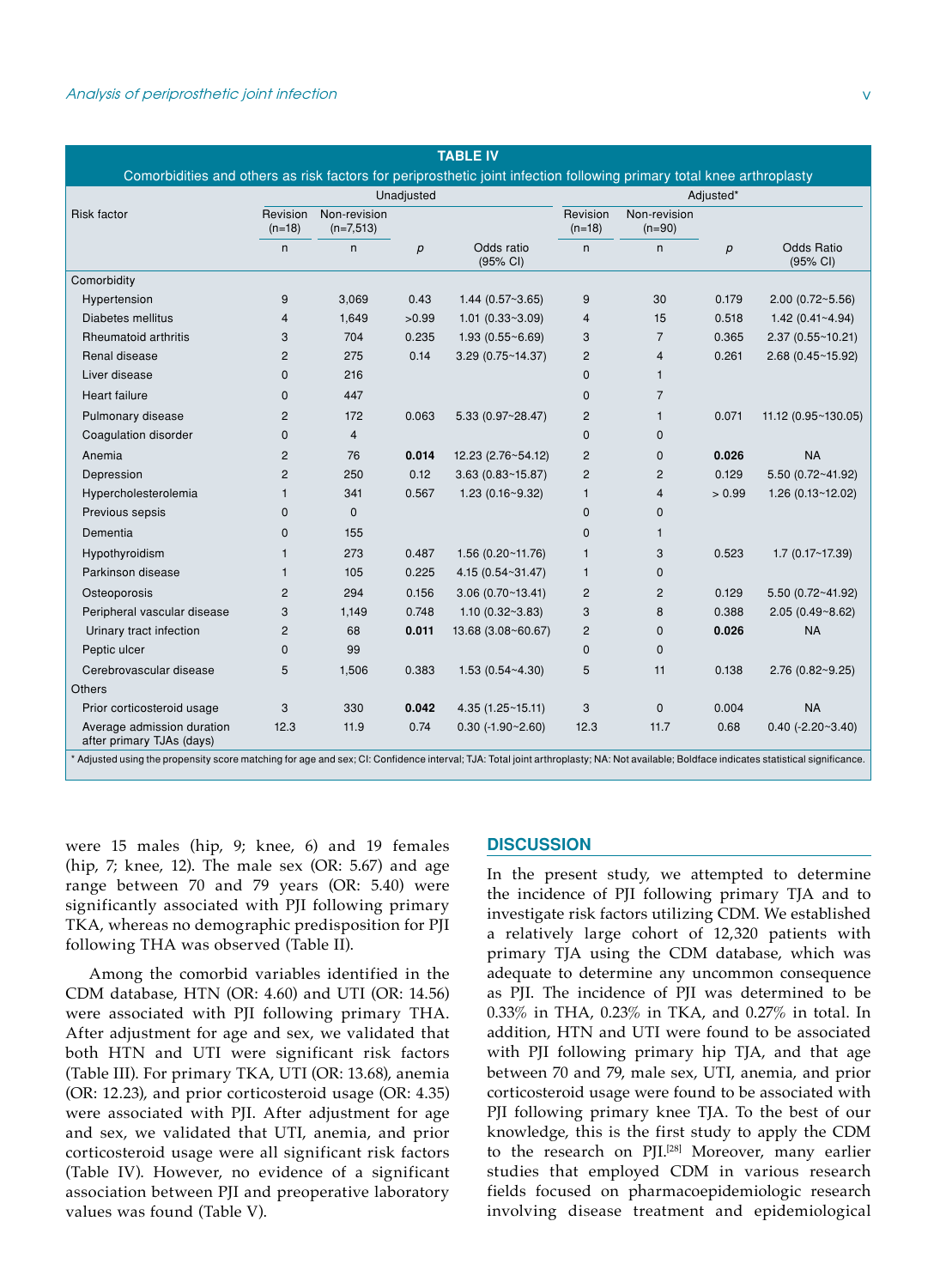|                                                         | Unadjusted           |                             |                  |                        |                      | Comorbidities and others as risk factors for periprosthetic joint infection following primary total knee arthroplasty<br>Adjusted* |                  |                               |  |  |
|---------------------------------------------------------|----------------------|-----------------------------|------------------|------------------------|----------------------|------------------------------------------------------------------------------------------------------------------------------------|------------------|-------------------------------|--|--|
| <b>Risk factor</b>                                      | Revision<br>$(n=18)$ | Non-revision<br>$(n=7,513)$ |                  |                        | Revision<br>$(n=18)$ | Non-revision<br>$(n=90)$                                                                                                           |                  |                               |  |  |
|                                                         | n                    | n                           | $\boldsymbol{p}$ | Odds ratio<br>(95% CI) | n.                   | n                                                                                                                                  | $\boldsymbol{p}$ | <b>Odds Ratio</b><br>(95% CI) |  |  |
| Comorbidity                                             |                      |                             |                  |                        |                      |                                                                                                                                    |                  |                               |  |  |
| Hypertension                                            | 9                    | 3,069                       | 0.43             | 1.44(0.57~3.65)        | 9                    | 30                                                                                                                                 | 0.179            | $2.00(0.72-5.56)$             |  |  |
| Diabetes mellitus                                       | 4                    | 1,649                       | >0.99            | 1.01(0.33~3.09)        | 4                    | 15                                                                                                                                 | 0.518            | 1.42(0.41~4.94)               |  |  |
| <b>Rheumatoid arthritis</b>                             | 3                    | 704                         | 0.235            | 1.93(0.55~6.69)        | 3                    | $\overline{7}$                                                                                                                     | 0.365            | 2.37(0.55~10.21)              |  |  |
| Renal disease                                           | $\overline{c}$       | 275                         | 0.14             | 3.29(0.75~14.37)       | 2                    | $\overline{4}$                                                                                                                     | 0.261            | 2.68(0.45~15.92)              |  |  |
| Liver disease                                           | $\mathbf 0$          | 216                         |                  |                        | $\mathbf{0}$         | $\mathbf{1}$                                                                                                                       |                  |                               |  |  |
| Heart failure                                           | $\mathbf 0$          | 447                         |                  |                        | $\mathbf 0$          | $\overline{7}$                                                                                                                     |                  |                               |  |  |
| Pulmonary disease                                       | $\overline{c}$       | 172                         | 0.063            | 5.33 (0.97~28.47)      | 2                    | $\mathbf{1}$                                                                                                                       | 0.071            | 11.12 (0.95~130.05)           |  |  |
| Coagulation disorder                                    | $\mathbf 0$          | $\overline{4}$              |                  |                        | $\mathbf 0$          | $\mathbf{0}$                                                                                                                       |                  |                               |  |  |
| Anemia                                                  | $\overline{2}$       | 76                          | 0.014            | 12.23 (2.76~54.12)     | $\overline{2}$       | $\mathbf 0$                                                                                                                        | 0.026            | <b>NA</b>                     |  |  |
| Depression                                              | $\overline{2}$       | 250                         | 0.12             | 3.63(0.83~15.87)       | $\overline{2}$       | $\overline{2}$                                                                                                                     | 0.129            | 5.50 (0.72~41.92)             |  |  |
| Hypercholesterolemia                                    | $\mathbf{1}$         | 341                         | 0.567            | $1.23(0.16-9.32)$      | $\mathbf{1}$         | $\overline{4}$                                                                                                                     | > 0.99           | 1.26(0.13~12.02)              |  |  |
| Previous sepsis                                         | $\mathbf 0$          | $\mathbf{0}$                |                  |                        | $\mathbf 0$          | $\mathbf 0$                                                                                                                        |                  |                               |  |  |
| Dementia                                                | $\mathbf 0$          | 155                         |                  |                        | 0                    | $\mathbf{1}$                                                                                                                       |                  |                               |  |  |
| Hypothyroidism                                          | $\mathbf{1}$         | 273                         | 0.487            | 1.56(0.20~11.76)       | $\mathbf{1}$         | 3                                                                                                                                  | 0.523            | 1.7(0.17~17.39)               |  |  |
| Parkinson disease                                       | $\mathbf{1}$         | 105                         | 0.225            | 4.15 (0.54~31.47)      | $\mathbf{1}$         | $\mathbf 0$                                                                                                                        |                  |                               |  |  |
| Osteoporosis                                            | $\overline{c}$       | 294                         | 0.156            | 3.06(0.70~13.41)       | $\mathbf{2}$         | $\overline{c}$                                                                                                                     | 0.129            | 5.50 (0.72~41.92)             |  |  |
| Peripheral vascular disease                             | 3                    | 1,149                       | 0.748            | 1.10(0.32~3.83)        | 3                    | 8                                                                                                                                  | 0.388            | $2.05(0.49 - 8.62)$           |  |  |
| Urinary tract infection                                 | $\overline{2}$       | 68                          | 0.011            | 13.68 (3.08~60.67)     | 2                    | $\mathbf{0}$                                                                                                                       | 0.026            | <b>NA</b>                     |  |  |
| Peptic ulcer                                            | $\mathbf{0}$         | 99                          |                  |                        | $\mathbf 0$          | $\mathbf{0}$                                                                                                                       |                  |                               |  |  |
| Cerebrovascular disease                                 | 5                    | 1,506                       | 0.383            | 1.53(0.54~4.30)        | 5                    | 11                                                                                                                                 | 0.138            | 2.76(0.82~9.25)               |  |  |
| <b>Others</b>                                           |                      |                             |                  |                        |                      |                                                                                                                                    |                  |                               |  |  |
| Prior corticosteroid usage                              | 3                    | 330                         | 0.042            | 4.35(1.25~15.11)       | 3                    | $\mathbf 0$                                                                                                                        | 0.004            | <b>NA</b>                     |  |  |
| Average admission duration<br>after primary TJAs (days) | 12.3                 | 11.9                        | 0.74             | $0.30(-1.90-2.60)$     | 12.3                 | 11.7                                                                                                                               | 0.68             | $0.40 (-2.20 - 3.40)$         |  |  |

were 15 males (hip, 9; knee, 6) and 19 females (hip,  $7$ ; knee, 12). The male sex (OR: 5.67) and age range between 70 and 79 years (OR: 5.40) were significantly associated with PJI following primary TKA, whereas no demographic predisposition for PJI following THA was observed (Table II).

Among the comorbid variables identified in the CDM database, HTN (OR: 4.60) and UTI (OR: 14.56) were associated with PJI following primary THA. After adjustment for age and sex, we validated that both HTN and UTI were significant risk factors (Table III). For primary TKA, UTI (OR: 13.68), anemia (OR: 12.23), and prior corticosteroid usage (OR: 4.35) were associated with PJI. After adjustment for age and sex, we validated that UTI, anemia, and prior corticosteroid usage were all significant risk factors (Table IV). However, no evidence of a significant association between PJI and preoperative laboratory values was found (Table V).

## **DISCUSSION**

In the present study, we attempted to determine the incidence of PJI following primary TJA and to investigate risk factors utilizing CDM. We established a relatively large cohort of 12,320 patients with primary TJA using the CDM database, which was adequate to determine any uncommon consequence as PJI. The incidence of PJI was determined to be 0.33% in THA, 0.23% in TKA, and 0.27% in total. In addition, HTN and UTI were found to be associated with PJI following primary hip TJA, and that age between 70 and 79, male sex, UTI, anemia, and prior corticosteroid usage were found to be associated with PJI following primary knee TJA. To the best of our knowledge, this is the first study to apply the CDM to the research on PJI.<sup>[28]</sup> Moreover, many earlier studies that employed CDM in various research fields focused on pharmacoepidemiologic research involving disease treatment and epidemiological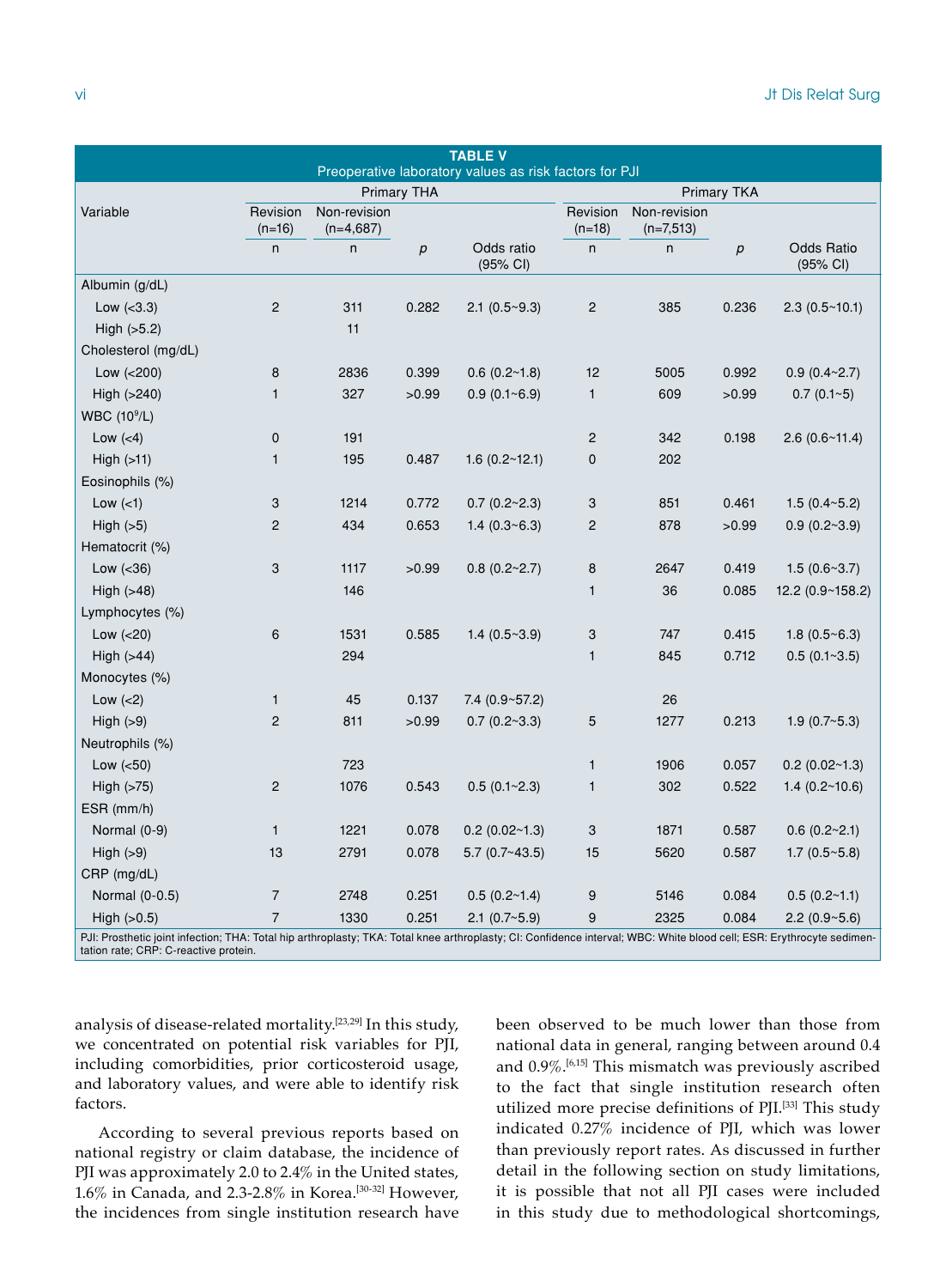|                                                                                                                                                                                                                |                      |                             |                    | <b>TABLE V</b>                                         |                    |                             |             |                                         |
|----------------------------------------------------------------------------------------------------------------------------------------------------------------------------------------------------------------|----------------------|-----------------------------|--------------------|--------------------------------------------------------|--------------------|-----------------------------|-------------|-----------------------------------------|
|                                                                                                                                                                                                                |                      |                             | <b>Primary THA</b> | Preoperative laboratory values as risk factors for PJI |                    |                             | Primary TKA |                                         |
| Variable                                                                                                                                                                                                       | Revision<br>$(n=16)$ | Non-revision<br>$(n=4,687)$ |                    |                                                        | Revision<br>(n=18) | Non-revision<br>$(n=7,513)$ |             |                                         |
|                                                                                                                                                                                                                | n                    | n                           | $\overline{p}$     | Odds ratio<br>$(95% \text{ Cl})$                       | n                  | n                           | $\rho$      | <b>Odds Ratio</b><br>$(95% \text{ Cl})$ |
| Albumin (g/dL)                                                                                                                                                                                                 |                      |                             |                    |                                                        |                    |                             |             |                                         |
| Low $(<3.3)$                                                                                                                                                                                                   | $\overline{c}$       | 311                         | 0.282              | $2.1$ (0.5~9.3)                                        | $\overline{c}$     | 385                         | 0.236       | 2.3(0.5~10.1)                           |
| High $(5.2)$                                                                                                                                                                                                   |                      | 11                          |                    |                                                        |                    |                             |             |                                         |
| Cholesterol (mg/dL)                                                                                                                                                                                            |                      |                             |                    |                                                        |                    |                             |             |                                         |
| Low $(<200)$                                                                                                                                                                                                   | 8                    | 2836                        | 0.399              | 0.6(0.2~1.8)                                           | 12                 | 5005                        | 0.992       | 0.9(0.4~2.7)                            |
| High $(>240)$                                                                                                                                                                                                  | $\mathbf{1}$         | 327                         | >0.99              | 0.9(0.1~6.9)                                           | $\mathbf{1}$       | 609                         | >0.99       | $0.7(0.1-5)$                            |
| <b>WBC</b> (10 <sup>9</sup> /L)                                                                                                                                                                                |                      |                             |                    |                                                        |                    |                             |             |                                         |
| Low $(<4)$                                                                                                                                                                                                     | 0                    | 191                         |                    |                                                        | $\overline{c}$     | 342                         | 0.198       | 2.6(0.6~11.4)                           |
| High (>11)                                                                                                                                                                                                     | $\mathbf{1}$         | 195                         | 0.487              | 1.6(0.2~12.1)                                          | 0                  | 202                         |             |                                         |
| Eosinophils (%)                                                                                                                                                                                                |                      |                             |                    |                                                        |                    |                             |             |                                         |
| Low $(<1)$                                                                                                                                                                                                     | 3                    | 1214                        | 0.772              | 0.7(0.2~2.3)                                           | 3                  | 851                         | 0.461       | 1.5(0.4~5.2)                            |
| High $(5)$                                                                                                                                                                                                     | $\overline{c}$       | 434                         | 0.653              | 1.4(0.3~6.3)                                           | $\overline{c}$     | 878                         | >0.99       | 0.9(0.2~3.9)                            |
| Hematocrit (%)                                                                                                                                                                                                 |                      |                             |                    |                                                        |                    |                             |             |                                         |
| Low $(<36)$                                                                                                                                                                                                    | 3                    | 1117                        | >0.99              | 0.8(0.2~2.7)                                           | 8                  | 2647                        | 0.419       | 1.5(0.6~3.7)                            |
| High $(>48)$                                                                                                                                                                                                   |                      | 146                         |                    |                                                        | $\mathbf{1}$       | 36                          | 0.085       | 12.2 (0.9~158.2)                        |
| Lymphocytes (%)                                                                                                                                                                                                |                      |                             |                    |                                                        |                    |                             |             |                                         |
| Low $(<20)$                                                                                                                                                                                                    | 6                    | 1531                        | 0.585              | 1.4(0.5~3.9)                                           | 3                  | 747                         | 0.415       | 1.8(0.5~6.3)                            |
| High $($ >44)                                                                                                                                                                                                  |                      | 294                         |                    |                                                        | $\mathbf{1}$       | 845                         | 0.712       | 0.5(0.1~3.5)                            |
| Monocytes (%)                                                                                                                                                                                                  |                      |                             |                    |                                                        |                    |                             |             |                                         |
| Low $(<2)$                                                                                                                                                                                                     | $\mathbf{1}$         | 45                          | 0.137              | 7.4(0.9~57.2)                                          |                    | 26                          |             |                                         |
| High $(>9)$                                                                                                                                                                                                    | $\overline{2}$       | 811                         | >0.99              | 0.7(0.2~3.3)                                           | 5                  | 1277                        | 0.213       | 1.9(0.7~5.3)                            |
| Neutrophils (%)                                                                                                                                                                                                |                      |                             |                    |                                                        |                    |                             |             |                                         |
| Low $(<50)$                                                                                                                                                                                                    |                      | 723                         |                    |                                                        | $\mathbf{1}$       | 1906                        | 0.057       | 0.2(0.02~1.3)                           |
| High (>75)                                                                                                                                                                                                     | $\overline{c}$       | 1076                        | 0.543              | 0.5(0.1~2.3)                                           | $\mathbf{1}$       | 302                         | 0.522       | 1.4(0.2~10.6)                           |
| $ESR$ (mm/h)                                                                                                                                                                                                   |                      |                             |                    |                                                        |                    |                             |             |                                         |
| Normal (0-9)                                                                                                                                                                                                   | $\mathbf{1}$         | 1221                        | 0.078              | 0.2(0.02~1.3)                                          | 3                  | 1871                        | 0.587       | 0.6(0.2~2.1)                            |
| High $(>9)$                                                                                                                                                                                                    | 13                   | 2791                        | 0.078              | 5.7(0.7~43.5)                                          | 15                 | 5620                        | 0.587       | 1.7(0.5~5.8)                            |
| CRP (mg/dL)                                                                                                                                                                                                    |                      |                             |                    |                                                        |                    |                             |             |                                         |
| Normal (0-0.5)                                                                                                                                                                                                 | $\overline{7}$       | 2748                        | 0.251              | 0.5(0.2~1.4)                                           | 9                  | 5146                        | 0.084       | 0.5(0.2~1.1)                            |
| High $(>0.5)$                                                                                                                                                                                                  | $\overline{7}$       | 1330                        | 0.251              | $2.1$ (0.7~5.9)                                        | 9                  | 2325                        | 0.084       | 2.2(0.9~5.6)                            |
| PJI: Prosthetic joint infection; THA: Total hip arthroplasty; TKA: Total knee arthroplasty; CI: Confidence interval; WBC: White blood cell; ESR: Erythrocyte sedimen-<br>tation rate; CRP: C-reactive protein. |                      |                             |                    |                                                        |                    |                             |             |                                         |

analysis of disease-related mortality.[23,29] In this study, we concentrated on potential risk variables for PJI, including comorbidities, prior corticosteroid usage, and laboratory values, and were able to identify risk factors.

According to several previous reports based on national registry or claim database, the incidence of PJI was approximately 2.0 to 2.4% in the United states, 1.6% in Canada, and 2.3-2.8% in Korea.[30-32] However, the incidences from single institution research have been observed to be much lower than those from national data in general, ranging between around 0.4 and 0.9%.[6,15] This mismatch was previously ascribed to the fact that single institution research often utilized more precise definitions of PJI.[33] This study indicated 0.27% incidence of PJI, which was lower than previously report rates. As discussed in further detail in the following section on study limitations, it is possible that not all PJI cases were included in this study due to methodological shortcomings,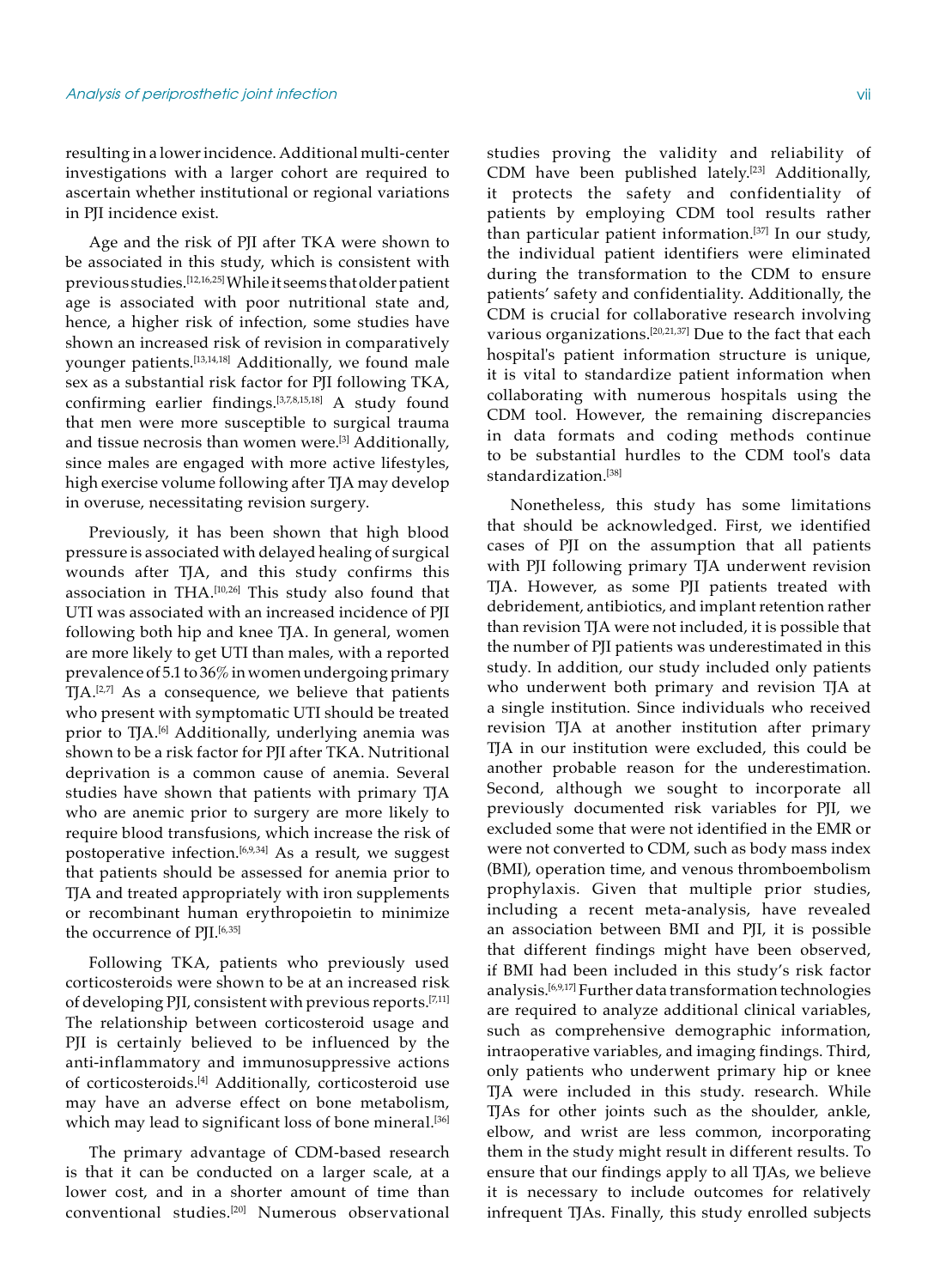resulting in a lower incidence. Additional multi-center investigations with a larger cohort are required to ascertain whether institutional or regional variations in PJI incidence exist.

Age and the risk of PJI after TKA were shown to be associated in this study, which is consistent with previous studies.[12,16,25] While it seems that older patient age is associated with poor nutritional state and, hence, a higher risk of infection, some studies have shown an increased risk of revision in comparatively younger patients.<sup>[13,14,18]</sup> Additionally, we found male sex as a substantial risk factor for PJI following TKA, confirming earlier findings.[3,7,8,15,18] A study found that men were more susceptible to surgical trauma and tissue necrosis than women were.<sup>[3]</sup> Additionally, since males are engaged with more active lifestyles, high exercise volume following after TJA may develop in overuse, necessitating revision surgery.

Previously, it has been shown that high blood pressure is associated with delayed healing of surgical wounds after TJA, and this study confirms this association in THA.[10,26] This study also found that UTI was associated with an increased incidence of PJI following both hip and knee TJA. In general, women are more likely to get UTI than males, with a reported prevalence of 5.1 to 36% in women undergoing primary TJA.[2,7] As a consequence, we believe that patients who present with symptomatic UTI should be treated prior to TJA.<sup>[6]</sup> Additionally, underlying anemia was shown to be a risk factor for PJI after TKA. Nutritional deprivation is a common cause of anemia. Several studies have shown that patients with primary TJA who are anemic prior to surgery are more likely to require blood transfusions, which increase the risk of postoperative infection.<sup>[6,9,34]</sup> As a result, we suggest that patients should be assessed for anemia prior to TJA and treated appropriately with iron supplements or recombinant human erythropoietin to minimize the occurrence of PJI.<sup>[6,35]</sup>

Following TKA, patients who previously used corticosteroids were shown to be at an increased risk of developing PJI, consistent with previous reports.[7,11] The relationship between corticosteroid usage and PJI is certainly believed to be influenced by the anti-inflammatory and immunosuppressive actions of corticosteroids.[4] Additionally, corticosteroid use may have an adverse effect on bone metabolism, which may lead to significant loss of bone mineral.<sup>[36]</sup>

The primary advantage of CDM-based research is that it can be conducted on a larger scale, at a lower cost, and in a shorter amount of time than conventional studies.[20] Numerous observational

studies proving the validity and reliability of CDM have been published lately.<sup>[23]</sup> Additionally, it protects the safety and confidentiality of patients by employing CDM tool results rather than particular patient information.<sup>[37]</sup> In our study, the individual patient identifiers were eliminated during the transformation to the CDM to ensure patients' safety and confidentiality. Additionally, the CDM is crucial for collaborative research involving various organizations.[20,21,37] Due to the fact that each hospital's patient information structure is unique, it is vital to standardize patient information when collaborating with numerous hospitals using the CDM tool. However, the remaining discrepancies in data formats and coding methods continue to be substantial hurdles to the CDM tool's data standardization.<sup>[38]</sup>

Nonetheless, this study has some limitations that should be acknowledged. First, we identified cases of PJI on the assumption that all patients with PJI following primary TJA underwent revision TJA. However, as some PJI patients treated with debridement, antibiotics, and implant retention rather than revision TJA were not included, it is possible that the number of PJI patients was underestimated in this study. In addition, our study included only patients who underwent both primary and revision TJA at a single institution. Since individuals who received revision TJA at another institution after primary TJA in our institution were excluded, this could be another probable reason for the underestimation. Second, although we sought to incorporate all previously documented risk variables for PJI, we excluded some that were not identified in the EMR or were not converted to CDM, such as body mass index (BMI), operation time, and venous thromboembolism prophylaxis. Given that multiple prior studies, including a recent meta-analysis, have revealed an association between BMI and PJI, it is possible that different findings might have been observed, if BMI had been included in this study's risk factor analysis.[6,9,17] Further data transformation technologies are required to analyze additional clinical variables, such as comprehensive demographic information, intraoperative variables, and imaging findings. Third, only patients who underwent primary hip or knee TJA were included in this study. research. While TJAs for other joints such as the shoulder, ankle, elbow, and wrist are less common, incorporating them in the study might result in different results. To ensure that our findings apply to all TJAs, we believe it is necessary to include outcomes for relatively infrequent TJAs. Finally, this study enrolled subjects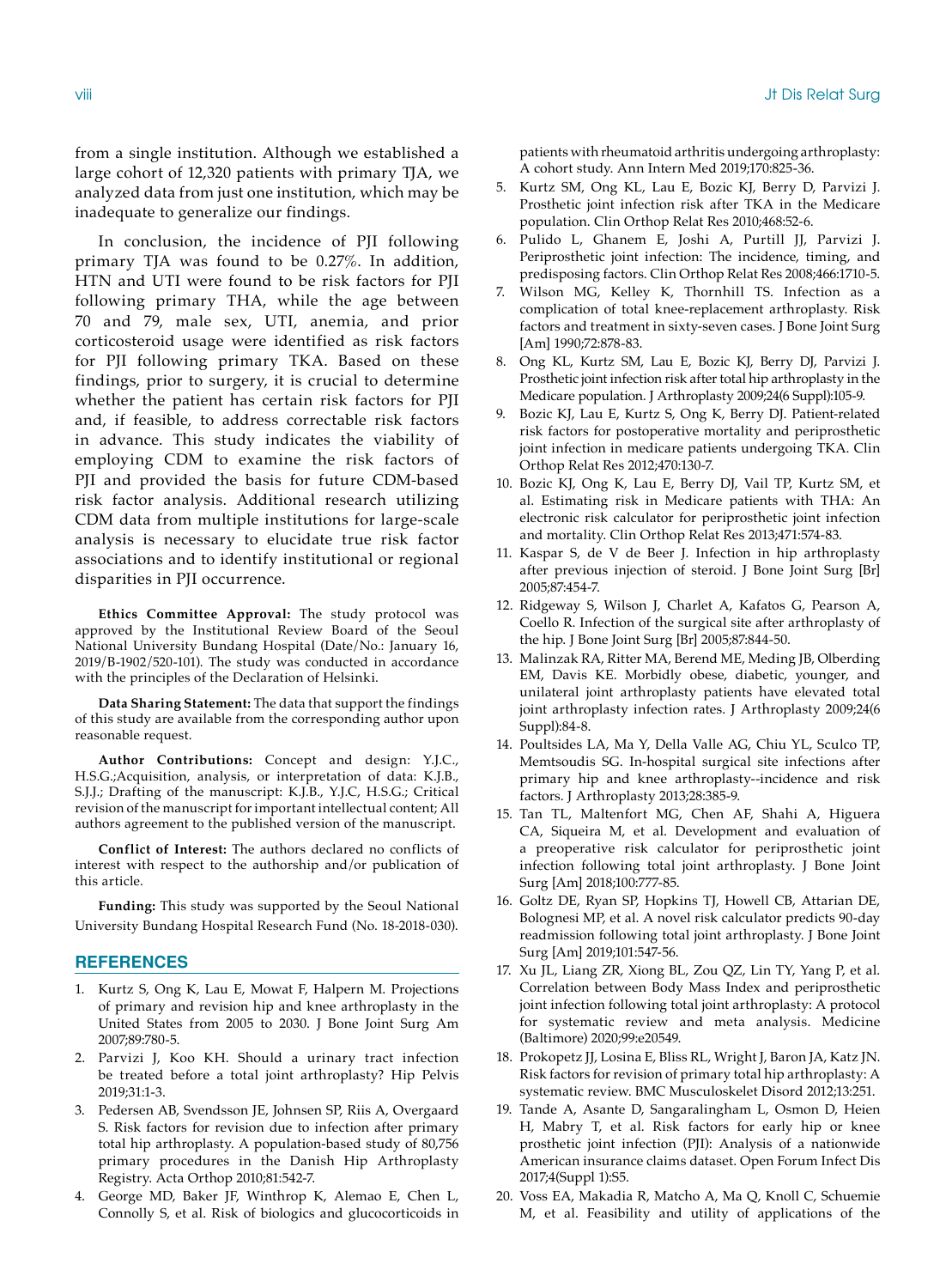from a single institution. Although we established a large cohort of 12,320 patients with primary TJA, we analyzed data from just one institution, which may be inadequate to generalize our findings.

In conclusion, the incidence of PJI following primary TJA was found to be 0.27%. In addition, HTN and UTI were found to be risk factors for PJI following primary THA, while the age between 70 and 79, male sex, UTI, anemia, and prior corticosteroid usage were identified as risk factors for PJI following primary TKA. Based on these findings, prior to surgery, it is crucial to determine whether the patient has certain risk factors for PJI and, if feasible, to address correctable risk factors in advance. This study indicates the viability of employing CDM to examine the risk factors of PJI and provided the basis for future CDM-based risk factor analysis. Additional research utilizing CDM data from multiple institutions for large-scale analysis is necessary to elucidate true risk factor associations and to identify institutional or regional disparities in PJI occurrence.

**Ethics Committee Approval:** The study protocol was approved by the Institutional Review Board of the Seoul National University Bundang Hospital (Date/No.: January 16, 2019/B-1902/520-101). The study was conducted in accordance with the principles of the Declaration of Helsinki.

**Data Sharing Statement:** The data that support the findings of this study are available from the corresponding author upon reasonable request.

**Author Contributions:** Concept and design: Y.J.C., H.S.G.;Acquisition, analysis, or interpretation of data: K.J.B., S.J.J.; Drafting of the manuscript: K.J.B., Y.J.C, H.S.G.; Critical revision of the manuscript for important intellectual content; All authors agreement to the published version of the manuscript.

**Conflict of Interest:** The authors declared no conflicts of interest with respect to the authorship and/or publication of this article.

**Funding:** This study was supported by the Seoul National University Bundang Hospital Research Fund (No. 18-2018-030).

### **REFERENCES**

- 1. Kurtz S, Ong K, Lau E, Mowat F, Halpern M. Projections of primary and revision hip and knee arthroplasty in the United States from 2005 to 2030. J Bone Joint Surg Am 2007;89:780-5.
- 2. Parvizi J, Koo KH. Should a urinary tract infection be treated before a total joint arthroplasty? Hip Pelvis 2019;31:1-3.
- 3. Pedersen AB, Svendsson JE, Johnsen SP, Riis A, Overgaard S. Risk factors for revision due to infection after primary total hip arthroplasty. A population-based study of 80,756 primary procedures in the Danish Hip Arthroplasty Registry. Acta Orthop 2010;81:542-7.
- 4. George MD, Baker JF, Winthrop K, Alemao E, Chen L, Connolly S, et al. Risk of biologics and glucocorticoids in

patients with rheumatoid arthritis undergoing arthroplasty: A cohort study. Ann Intern Med 2019;170:825-36.

- 5. Kurtz SM, Ong KL, Lau E, Bozic KJ, Berry D, Parvizi J. Prosthetic joint infection risk after TKA in the Medicare population. Clin Orthop Relat Res 2010;468:52-6.
- 6. Pulido L, Ghanem E, Joshi A, Purtill JJ, Parvizi J. Periprosthetic joint infection: The incidence, timing, and predisposing factors. Clin Orthop Relat Res 2008;466:1710-5.
- 7. Wilson MG, Kelley K, Thornhill TS. Infection as a complication of total knee-replacement arthroplasty. Risk factors and treatment in sixty-seven cases. J Bone Joint Surg [Am] 1990;72:878-83.
- 8. Ong KL, Kurtz SM, Lau E, Bozic KJ, Berry DJ, Parvizi J. Prosthetic joint infection risk after total hip arthroplasty in the Medicare population. J Arthroplasty 2009;24(6 Suppl):105-9.
- 9. Bozic KJ, Lau E, Kurtz S, Ong K, Berry DJ. Patient-related risk factors for postoperative mortality and periprosthetic joint infection in medicare patients undergoing TKA. Clin Orthop Relat Res 2012;470:130-7.
- 10. Bozic KJ, Ong K, Lau E, Berry DJ, Vail TP, Kurtz SM, et al. Estimating risk in Medicare patients with THA: An electronic risk calculator for periprosthetic joint infection and mortality. Clin Orthop Relat Res 2013;471:574-83.
- 11. Kaspar S, de V de Beer J. Infection in hip arthroplasty after previous injection of steroid. J Bone Joint Surg [Br] 2005;87:454-7.
- 12. Ridgeway S, Wilson J, Charlet A, Kafatos G, Pearson A, Coello R. Infection of the surgical site after arthroplasty of the hip. J Bone Joint Surg [Br] 2005;87:844-50.
- 13. Malinzak RA, Ritter MA, Berend ME, Meding JB, Olberding EM, Davis KE. Morbidly obese, diabetic, younger, and unilateral joint arthroplasty patients have elevated total joint arthroplasty infection rates. J Arthroplasty 2009;24(6 Suppl):84-8.
- 14. Poultsides LA, Ma Y, Della Valle AG, Chiu YL, Sculco TP, Memtsoudis SG. In-hospital surgical site infections after primary hip and knee arthroplasty--incidence and risk factors. J Arthroplasty 2013;28:385-9.
- 15. Tan TL, Maltenfort MG, Chen AF, Shahi A, Higuera CA, Siqueira M, et al. Development and evaluation of a preoperative risk calculator for periprosthetic joint infection following total joint arthroplasty. J Bone Joint Surg [Am] 2018;100:777-85.
- 16. Goltz DE, Ryan SP, Hopkins TJ, Howell CB, Attarian DE, Bolognesi MP, et al. A novel risk calculator predicts 90-day readmission following total joint arthroplasty. J Bone Joint Surg [Am] 2019;101:547-56.
- 17. Xu JL, Liang ZR, Xiong BL, Zou QZ, Lin TY, Yang P, et al. Correlation between Body Mass Index and periprosthetic joint infection following total joint arthroplasty: A protocol for systematic review and meta analysis. Medicine (Baltimore) 2020;99:e20549.
- 18. Prokopetz JJ, Losina E, Bliss RL, Wright J, Baron JA, Katz JN. Risk factors for revision of primary total hip arthroplasty: A systematic review. BMC Musculoskelet Disord 2012;13:251.
- 19. Tande A, Asante D, Sangaralingham L, Osmon D, Heien H, Mabry T, et al. Risk factors for early hip or knee prosthetic joint infection (PJI): Analysis of a nationwide American insurance claims dataset. Open Forum Infect Dis 2017;4(Suppl 1):S5.
- 20. Voss EA, Makadia R, Matcho A, Ma Q, Knoll C, Schuemie M, et al. Feasibility and utility of applications of the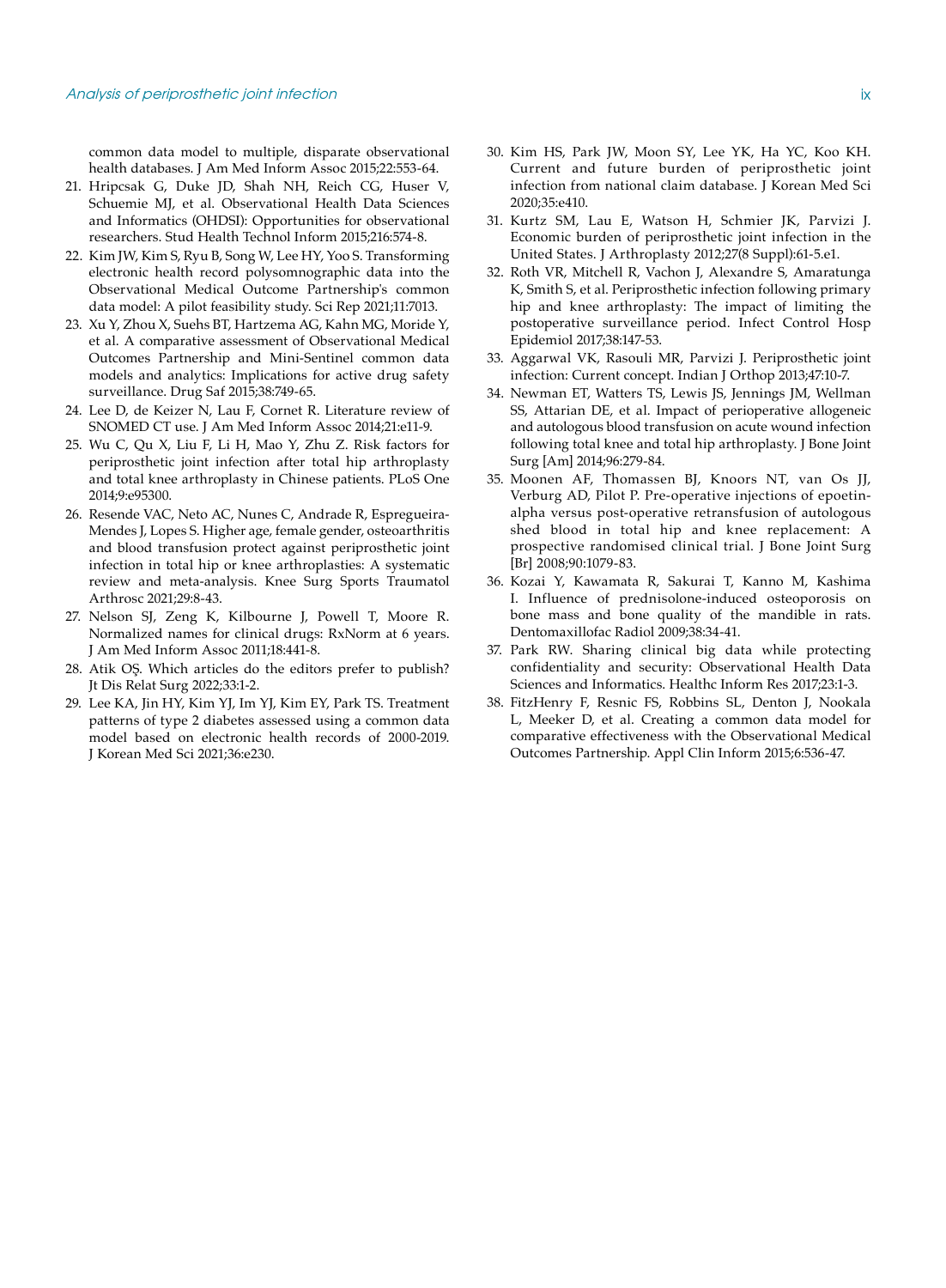common data model to multiple, disparate observational health databases. J Am Med Inform Assoc 2015;22:553-64.

- 21. Hripcsak G, Duke JD, Shah NH, Reich CG, Huser V, Schuemie MJ, et al. Observational Health Data Sciences and Informatics (OHDSI): Opportunities for observational researchers. Stud Health Technol Inform 2015;216:574-8.
- 22. Kim JW, Kim S, Ryu B, Song W, Lee HY, Yoo S. Transforming electronic health record polysomnographic data into the Observational Medical Outcome Partnership's common data model: A pilot feasibility study. Sci Rep 2021;11:7013.
- 23. Xu Y, Zhou X, Suehs BT, Hartzema AG, Kahn MG, Moride Y, et al. A comparative assessment of Observational Medical Outcomes Partnership and Mini-Sentinel common data models and analytics: Implications for active drug safety surveillance. Drug Saf 2015;38:749-65.
- 24. Lee D, de Keizer N, Lau F, Cornet R. Literature review of SNOMED CT use. J Am Med Inform Assoc 2014;21:e11-9.
- 25. Wu C, Qu X, Liu F, Li H, Mao Y, Zhu Z. Risk factors for periprosthetic joint infection after total hip arthroplasty and total knee arthroplasty in Chinese patients. PLoS One 2014;9:e95300.
- 26. Resende VAC, Neto AC, Nunes C, Andrade R, Espregueira-Mendes J, Lopes S. Higher age, female gender, osteoarthritis and blood transfusion protect against periprosthetic joint infection in total hip or knee arthroplasties: A systematic review and meta-analysis. Knee Surg Sports Traumatol Arthrosc 2021;29:8-43.
- 27. Nelson SJ, Zeng K, Kilbourne J, Powell T, Moore R. Normalized names for clinical drugs: RxNorm at 6 years. J Am Med Inform Assoc 2011;18:441-8.
- 28. Atik OŞ. Which articles do the editors prefer to publish? Jt Dis Relat Surg 2022;33:1-2.
- 29. Lee KA, Jin HY, Kim YJ, Im YJ, Kim EY, Park TS. Treatment patterns of type 2 diabetes assessed using a common data model based on electronic health records of 2000-2019. J Korean Med Sci 2021;36:e230.
- 30. Kim HS, Park JW, Moon SY, Lee YK, Ha YC, Koo KH. Current and future burden of periprosthetic joint infection from national claim database. J Korean Med Sci 2020;35:e410.
- 31. Kurtz SM, Lau E, Watson H, Schmier JK, Parvizi J. Economic burden of periprosthetic joint infection in the United States. J Arthroplasty 2012;27(8 Suppl):61-5.e1.
- 32. Roth VR, Mitchell R, Vachon J, Alexandre S, Amaratunga K, Smith S, et al. Periprosthetic infection following primary hip and knee arthroplasty: The impact of limiting the postoperative surveillance period. Infect Control Hosp Epidemiol 2017;38:147-53.
- 33. Aggarwal VK, Rasouli MR, Parvizi J. Periprosthetic joint infection: Current concept. Indian J Orthop 2013;47:10-7.
- 34. Newman ET, Watters TS, Lewis JS, Jennings JM, Wellman SS, Attarian DE, et al. Impact of perioperative allogeneic and autologous blood transfusion on acute wound infection following total knee and total hip arthroplasty. J Bone Joint Surg [Am] 2014;96:279-84.
- 35. Moonen AF, Thomassen BJ, Knoors NT, van Os JJ, Verburg AD, Pilot P. Pre-operative injections of epoetinalpha versus post-operative retransfusion of autologous shed blood in total hip and knee replacement: A prospective randomised clinical trial. J Bone Joint Surg [Br] 2008;90:1079-83.
- 36. Kozai Y, Kawamata R, Sakurai T, Kanno M, Kashima I. Influence of prednisolone-induced osteoporosis on bone mass and bone quality of the mandible in rats. Dentomaxillofac Radiol 2009;38:34-41.
- 37. Park RW. Sharing clinical big data while protecting confidentiality and security: Observational Health Data Sciences and Informatics. Healthc Inform Res 2017;23:1-3.
- 38. FitzHenry F, Resnic FS, Robbins SL, Denton J, Nookala L, Meeker D, et al. Creating a common data model for comparative effectiveness with the Observational Medical Outcomes Partnership. Appl Clin Inform 2015;6:536-47.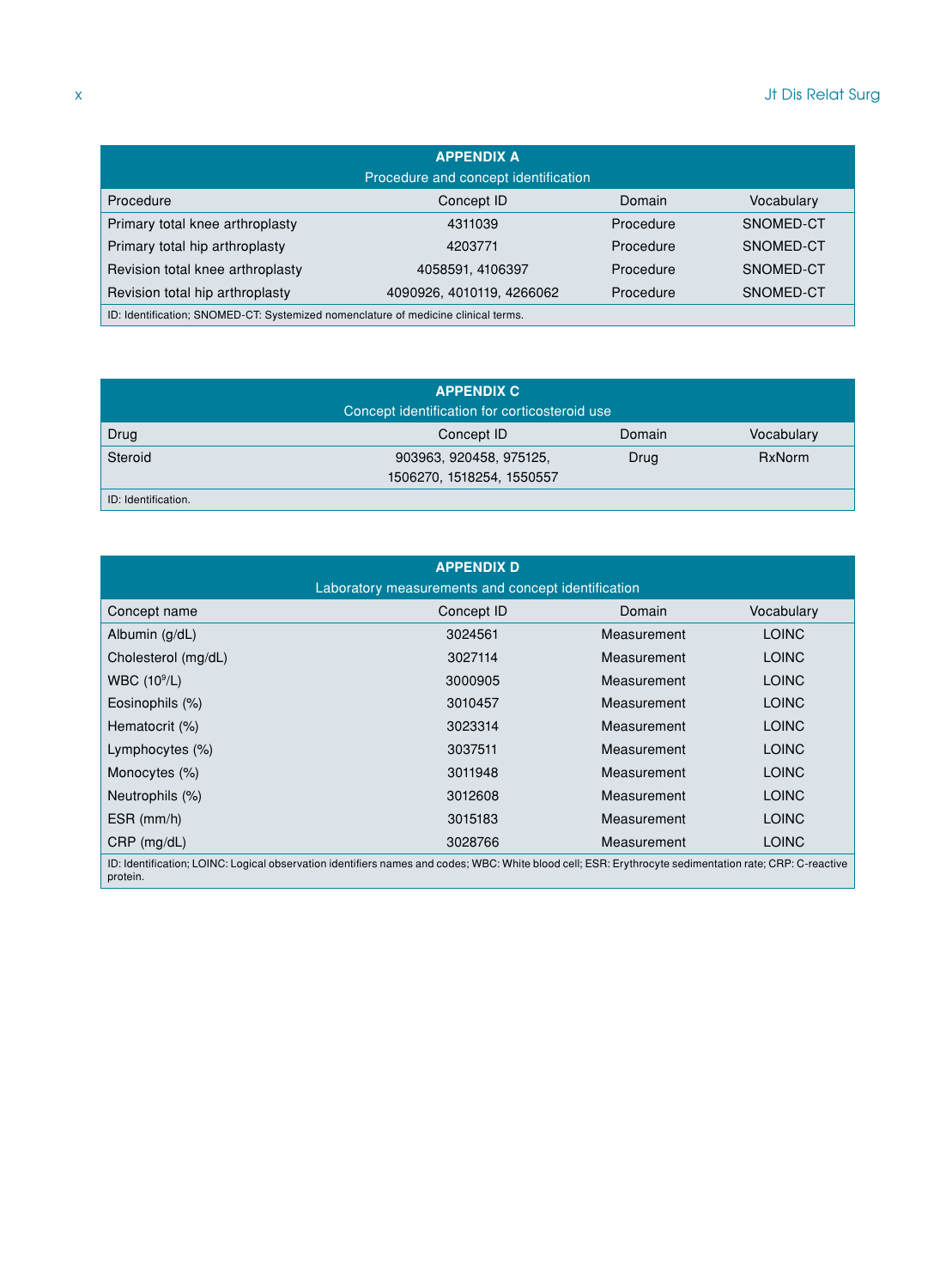## x Jt Dis Relat Surg

|                                                                                    | <b>APPENDIX A</b><br>Procedure and concept identification |           |            |  |  |  |  |
|------------------------------------------------------------------------------------|-----------------------------------------------------------|-----------|------------|--|--|--|--|
| Procedure                                                                          | Concept ID                                                | Domain    | Vocabulary |  |  |  |  |
| Primary total knee arthroplasty                                                    | 4311039                                                   | Procedure | SNOMED-CT  |  |  |  |  |
| Primary total hip arthroplasty                                                     | 4203771                                                   | Procedure | SNOMED-CT  |  |  |  |  |
| Revision total knee arthroplasty                                                   | 4058591, 4106397                                          | Procedure | SNOMED-CT  |  |  |  |  |
| Revision total hip arthroplasty                                                    | 4090926, 4010119, 4266062                                 | Procedure | SNOMED-CT  |  |  |  |  |
| ID: Identification; SNOMED-CT: Systemized nomenclature of medicine clinical terms. |                                                           |           |            |  |  |  |  |

|                     | <b>APPENDIX C</b><br>Concept identification for corticosteroid use |        |               |
|---------------------|--------------------------------------------------------------------|--------|---------------|
|                     |                                                                    |        |               |
| Drug                | Concept ID                                                         | Domain | Vocabulary    |
| Steroid             | 903963, 920458, 975125,                                            | Drug   | <b>RxNorm</b> |
|                     | 1506270, 1518254, 1550557                                          |        |               |
| ID: Identification. |                                                                    |        |               |

|                                                                                                                                                                     | <b>APPENDIX D</b><br>Laboratory measurements and concept identification |             |              |  |  |  |
|---------------------------------------------------------------------------------------------------------------------------------------------------------------------|-------------------------------------------------------------------------|-------------|--------------|--|--|--|
| Concept name                                                                                                                                                        | Concept ID                                                              | Domain      | Vocabulary   |  |  |  |
|                                                                                                                                                                     |                                                                         |             |              |  |  |  |
| Albumin (g/dL)                                                                                                                                                      | 3024561                                                                 | Measurement | <b>LOINC</b> |  |  |  |
| Cholesterol (mg/dL)                                                                                                                                                 | 3027114                                                                 | Measurement | LOINC        |  |  |  |
| WBC $(109/L)$                                                                                                                                                       | 3000905                                                                 | Measurement | <b>LOINC</b> |  |  |  |
| Eosinophils (%)                                                                                                                                                     | 3010457                                                                 | Measurement | <b>LOINC</b> |  |  |  |
| Hematocrit (%)                                                                                                                                                      | 3023314                                                                 | Measurement | <b>LOINC</b> |  |  |  |
| Lymphocytes (%)                                                                                                                                                     | 3037511                                                                 | Measurement | <b>LOINC</b> |  |  |  |
| Monocytes (%)                                                                                                                                                       | 3011948                                                                 | Measurement | <b>LOINC</b> |  |  |  |
| Neutrophils (%)                                                                                                                                                     | 3012608                                                                 | Measurement | <b>LOINC</b> |  |  |  |
| $ESR$ (mm/h)                                                                                                                                                        | 3015183                                                                 | Measurement | <b>LOINC</b> |  |  |  |
| $CRP$ (mg/dL)                                                                                                                                                       | 3028766                                                                 | Measurement | <b>LOINC</b> |  |  |  |
| ID: Identification; LOINC: Logical observation identifiers names and codes; WBC: White blood cell; ESR: Erythrocyte sedimentation rate; CRP: C-reactive<br>protein. |                                                                         |             |              |  |  |  |